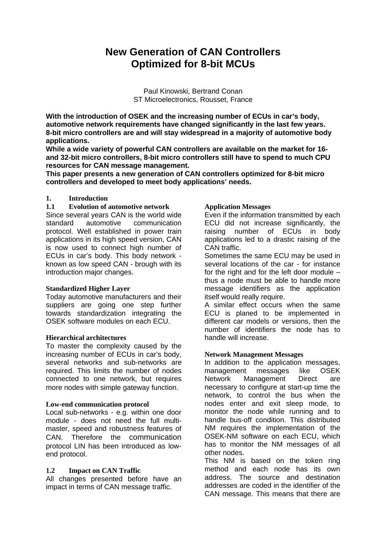# **New Generation of CAN Controllers Optimized for 8-bit MCUs**

Paul Kinowski, Bertrand Conan ST Microelectronics, Rousset, France

**With the introduction of OSEK and the increasing number of ECUs in car's body, automotive network requirements have changed significantly in the last few years. 8-bit micro controllers are and will stay widespread in a majority of automotive body applications.**

**While a wide variety of powerful CAN controllers are available on the market for 16 and 32-bit micro controllers, 8-bit micro controllers still have to spend to much CPU resources for CAN message management.**

**This paper presents a new generation of CAN controllers optimized for 8-bit micro controllers and developed to meet body applications' needs.**

#### **1. Introduction**

### **1.1 Evolution of automotive network**

Since several years CAN is the world wide standard automotive communication protocol. Well established in power train applications in its high speed version, CAN is now used to connect high number of ECUs in car's body. This body network known as low speed CAN - brough with its introduction major changes.

#### **Standardized Higher Layer**

Today automotive manufacturers and their suppliers are going one step further towards standardization integrating the OSEK software modules on each ECU.

#### **Hierarchical architectures**

To master the complexity caused by the increasing number of ECUs in car's body, several networks and sub-networks are required. This limits the number of nodes connected to one network, but requires more nodes with simple gateway function.

#### **Low-end communication protocol**

Local sub-networks - e.g. within one door module - does not need the full multimaster, speed and robustness features of CAN. Therefore the communication protocol LIN has been introduced as lowend protocol.

### **1.2 Impact on CAN Traffic**

All changes presented before have an impact in terms of CAN message traffic.

### **Application Messages**

Even if the information transmitted by each ECU did not increase significantly, the raising number of ECUs in body applications led to a drastic raising of the CAN traffic.

Sometimes the same ECU may be used in several locations of the car - for instance for the right and for the left door module – thus a node must be able to handle more message identifiers as the application itself would really require.

A similar effect occurs when the same ECU is planed to be implemented in different car models or versions, then the number of identifiers the node has to handle will increase.

#### **Network Management Messages**

In addition to the application messages, management messages like OSEK Network Management Direct are necessary to configure at start-up time the network, to control the bus when the nodes enter and exit sleep mode, to monitor the node while running and to handle bus-off condition. This distributed NM requires the implementation of the OSEK-NM software on each ECU, which has to monitor the NM messages of all other nodes.

This NM is based on the token ring method and each node has its own address. The source and destination addresses are coded in the identifier of the CAN message. This means that there are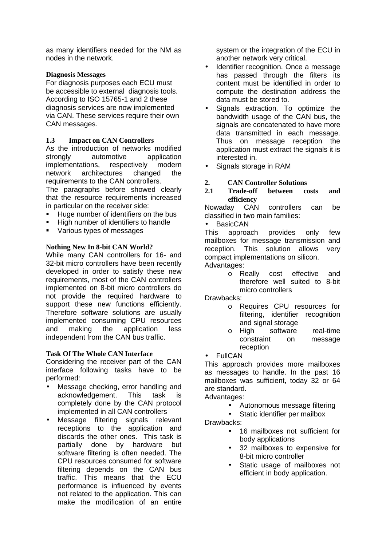as many identifiers needed for the NM as nodes in the network.

### **Diagnosis Messages**

For diagnosis purposes each ECU must be accessible to external diagnosis tools. According to ISO 15765-1 and 2 these diagnosis services are now implemented via CAN. These services require their own CAN messages.

### **1.3 Impact on CAN Controllers**

As the introduction of networks modified strongly automotive application implementations, respectively modern network architectures changed the requirements to the CAN controllers. The paragraphs before showed clearly that the resource requirements increased in particular on the receiver side:

- ß Huge number of identifiers on the bus
- ß High number of identifiers to handle
- ß Various types of messages

### **Nothing New In 8-bit CAN World?**

While many CAN controllers for 16- and 32-bit micro controllers have been recently developed in order to satisfy these new requirements, most of the CAN controllers implemented on 8-bit micro controllers do not provide the required hardware to support these new functions efficiently. Therefore software solutions are usually implemented consuming CPU resources and making the application less independent from the CAN bus traffic.

### **Task Of The Whole CAN Interface**

Considering the receiver part of the CAN interface following tasks have to be performed:

- Message checking, error handling and acknowledgement. This task is completely done by the CAN protocol implemented in all CAN controllers
- Message filtering signals relevant receptions to the application and discards the other ones. This task is partially done by hardware but software filtering is often needed. The CPU resources consumed for software filtering depends on the CAN bus traffic. This means that the ECU performance is influenced by events not related to the application. This can make the modification of an entire

system or the integration of the ECU in another network very critical.

- Identifier recognition. Once a message has passed through the filters its content must be identified in order to compute the destination address the data must be stored to.
- Signals extraction. To optimize the bandwidth usage of the CAN bus, the signals are concatenated to have more data transmitted in each message. Thus on message reception the application must extract the signals it is interested in.
- Signals storage in RAM

### **2. CAN Controller Solutions**

### **2.1 Trade-off between costs and efficiency**

Nowaday CAN controllers can be classified in two main families:

BasicCAN

This approach provides only few mailboxes for message transmission and reception. This solution allows very compact implementations on silicon. Advantages:

> o Really cost effective and therefore well suited to 8-bit micro controllers

Drawbacks:

- o Requires CPU resources for filtering, identifier recognition and signal storage
- o High software real-time constraint on message reception
- **FullCAN**

This approach provides more mailboxes as messages to handle. In the past 16 mailboxes was sufficient, today 32 or 64 are standard.

Advantages:

- Autonomous message filtering
- Static identifier per mailbox

Drawbacks:

- 16 mailboxes not sufficient for body applications
- 32 mailboxes to expensive for 8-bit micro controller
- Static usage of mailboxes not efficient in body application.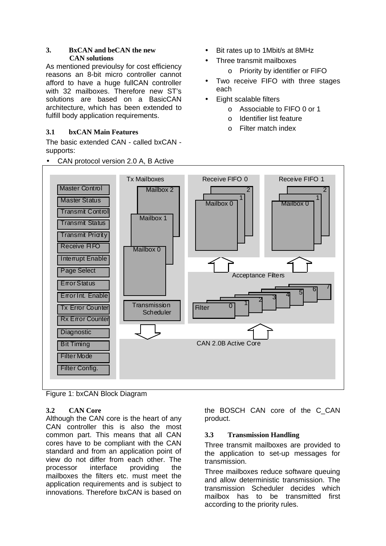### **3. BxCAN and beCAN the new CAN solutions**

As mentioned previoulsy for cost efficiency reasons an 8-bit micro controller cannot afford to have a huge fullCAN controller with 32 mailboxes. Therefore new ST's solutions are based on a BasicCAN architecture, which has been extended to fulfill body application requirements.

# **3.1 bxCAN Main Features**

The basic extended CAN - called bxCAN supports:

- Mailbox 2 Mailbox 1 ह्य $^{\prime}$ 5 CAN 2.0B Active Core Mailbox 0 Transmission Acceptance Filters Tx Mailboxes Master Control **Scheduler** Master Status Transmit Control Transmit Status **Transmit Prigrity** Receive FIFO Error Status Error Int. Enable Tx Error Counter Rx Error Counter **Diagnostic** Bit Timing Filter Mode Filter Config. Page Select Interrupt Enable Mailbox 0 1 2 Receive FIFO 1  $\frac{1}{2}$  3  $^4$ 1 **Filter** Mailbox 0 1 2 Receive FIFO 0
- CAN protocol version 2.0 A, B Active
- Bit rates up to 1Mbit/s at 8MHz
- Three transmit mailboxes
	- o Priority by identifier or FIFO
- Two receive FIFO with three stages each
- Eight scalable filters
	- o Associable to FIFO 0 or 1
	- o Identifier list feature
	- o Filter match index

Figure 1: bxCAN Block Diagram

# **3.2 CAN Core**

Although the CAN core is the heart of any CAN controller this is also the most common part. This means that all CAN cores have to be compliant with the CAN standard and from an application point of view do not differ from each other. The processor interface providing the mailboxes the filters etc. must meet the application requirements and is subject to innovations. Therefore bxCAN is based on

the BOSCH CAN core of the C\_CAN product.

# **3.3 Transmission Handling**

Three transmit mailboxes are provided to the application to set-up messages for transmission.

Three mailboxes reduce software queuing and allow deterministic transmission. The transmission Scheduler decides which mailbox has to be transmitted first according to the priority rules.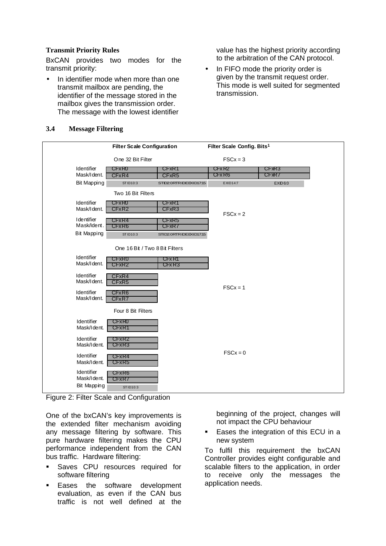## **Transmit Priority Rules**

BxCAN provides two modes for the transmit priority:

In identifier mode when more than one transmit mailbox are pending, the identifier of the message stored in the mailbox gives the transmission order. The message with the lowest identifier value has the highest priority according to the arbitration of the CAN protocol.

• In FIFO mode the priority order is given by the transmit request order. This mode is well suited for segmented transmission.

|                                                 | <b>Filter Scale Configuration</b>                   |                                                     | Filter Scale Config. Bits <sup>1</sup> |                |  |
|-------------------------------------------------|-----------------------------------------------------|-----------------------------------------------------|----------------------------------------|----------------|--|
|                                                 | One 32 Bit Filter                                   |                                                     | $FSCx = 3$                             |                |  |
| Identifier<br>Mask/Ident.                       | CFxR <sub>0</sub><br>CFxR4                          | C <sub>F</sub> xR <sub>1</sub><br>CFxR <sub>5</sub> | CFx R2<br>CFxR6                        | CFXR3<br>CFxR7 |  |
| <b>Bit Mapping</b>                              | STID10:3                                            | STID2.0RTRIDEEXID17:15                              | EXID14:7                               | <b>EXID6:0</b> |  |
|                                                 | Two 16 Bit Filters                                  |                                                     |                                        |                |  |
| Identifier<br>Mask/I dent.                      | C <sub>FxR0</sub><br>CFxR <sub>2</sub>              | CFxR1<br>CFxR3                                      | $FSCx = 2$                             |                |  |
| I de ntifier<br>Mask/Ident.                     | C <sub>rxR4</sub><br>C <sub>FxR6</sub>              | CFxR5<br>CFxR7                                      |                                        |                |  |
| <b>Bit Mapping</b>                              | <b>STID10:3</b>                                     | STID2: 0RTRIDE EXID17:15                            |                                        |                |  |
|                                                 | One 16 Bit / Two 8 Bit Filters                      |                                                     |                                        |                |  |
| Identifier<br>Mask/I dent.                      | <b>CFxR0</b><br>CFxR2                               | CFx <sub>R1</sub><br>CFx R3                         |                                        |                |  |
| Identifier<br>Mask/I dent.                      | CFxR4<br>CFxR <sub>5</sub>                          |                                                     |                                        |                |  |
| Identifier<br>Mask/Ident.                       | CFxR6<br>CFxR7                                      |                                                     | $FSCx = 1$                             |                |  |
|                                                 | Four 8 Bit Filters                                  |                                                     |                                        |                |  |
| Identifier<br>Mask/I dent.                      | CFxR <sub>0</sub><br>CFxR1                          |                                                     |                                        |                |  |
| Identifier<br>Mask/Ident.                       | C <sub>F</sub> x <sub>R2</sub><br>CFxR3             |                                                     | $FSCx = 0$                             |                |  |
| Identifier<br>Mask/Ident.                       | CFxR4<br>C <sub>rx</sub> R <sub>5</sub>             |                                                     |                                        |                |  |
| Identifier<br>Mask/Ident.<br><b>Bit Mapping</b> | C <sub>F</sub> x <sub>R6</sub><br>CFxR7<br>STID10:3 |                                                     |                                        |                |  |

# **3.4 Message Filtering**

Figure 2: Filter Scale and Configuration

One of the bxCAN's key improvements is the extended filter mechanism avoiding any message filtering by software. This pure hardware filtering makes the CPU performance independent from the CAN bus traffic. Hardware filtering:

- Saves CPU resources required for software filtering
- Eases the software development evaluation, as even if the CAN bus traffic is not well defined at the

beginning of the project, changes will not impact the CPU behaviour

**Eases the integration of this ECU in a** new system

To fulfil this requirement the bxCAN Controller provides eight configurable and scalable filters to the application, in order to receive only the messages the application needs.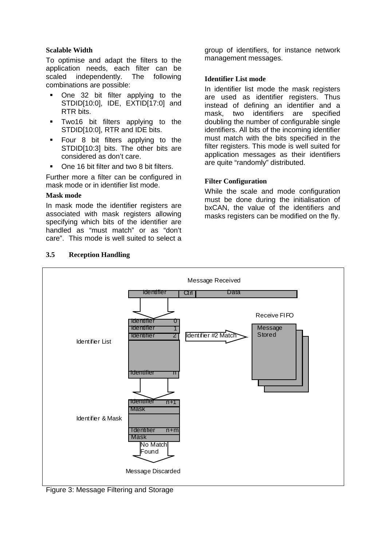### **Scalable Width**

To optimise and adapt the filters to the application needs, each filter can be scaled independently. The following combinations are possible:

- ß One 32 bit filter applying to the STDID[10:0], IDE, EXTID[17:0] and RTR bits.
- **Two16 bit filters applying to the** STDID[10:0], RTR and IDE bits.
- **Four 8 bit filters applying to the** STDID[10:3] bits. The other bits are considered as don't care.
- ß One 16 bit filter and two 8 bit filters.

Further more a filter can be configured in mask mode or in identifier list mode.

### **Mask mode**

In mask mode the identifier registers are associated with mask registers allowing specifying which bits of the identifier are handled as "must match" or as "don't care". This mode is well suited to select a

group of identifiers, for instance network management messages.

### **Identifier List mode**

In identifier list mode the mask registers are used as identifier registers. Thus instead of defining an identifier and a mask, two identifiers are specified doubling the number of configurable single identifiers. All bits of the incoming identifier must match with the bits specified in the filter registers. This mode is well suited for application messages as their identifiers are quite "randomly" distributed.

### **Filter Configuration**

While the scale and mode configuration must be done during the initialisation of bxCAN, the value of the identifiers and masks registers can be modified on the fly.



# **3.5 Reception Handling**

Figure 3: Message Filtering and Storage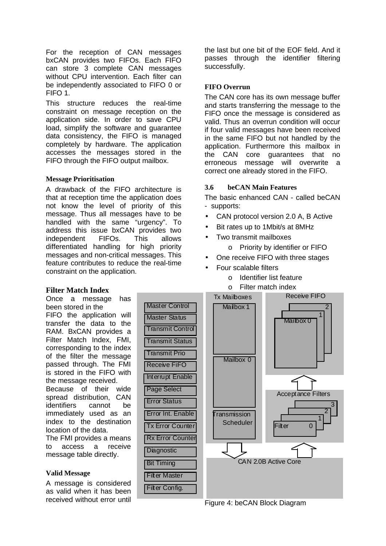For the reception of CAN messages bxCAN provides two FIFOs. Each FIFO can store 3 complete CAN messages without CPU intervention. Each filter can be independently associated to FIFO 0 or FIFO 1.

This structure reduces the real-time constraint on message reception on the application side. In order to save CPU load, simplify the software and guarantee data consistency, the FIFO is managed completely by hardware. The application accesses the messages stored in the FIFO through the FIFO output mailbox.

#### **Message Prioritisation**

A drawback of the FIFO architecture is that at reception time the application does not know the level of priority of this message. Thus all messages have to be handled with the same "urgency". To address this issue bxCAN provides two independent FIFOs. This allows differentiated handling for high priority messages and non-critical messages. This feature contributes to reduce the real-time constraint on the application.

the last but one bit of the EOF field. And it passes through the identifier filtering successfully.

### **FIFO Overrun**

The CAN core has its own message buffer and starts transferring the message to the FIFO once the message is considered as valid. Thus an overrun condition will occur if four valid messages have been received in the same FIFO but not handled by the application. Furthermore this mailbox in the CAN core guarantees that no erroneous message will overwrite a correct one already stored in the FIFO.

#### **3.6 beCAN Main Features**

The basic enhanced CAN - called beCAN - supports:

- CAN protocol version 2.0 A, B Active
- Bit rates up to 1Mbit/s at 8MHz
- Two transmit mailboxes
	- o Priority by identifier or FIFO
- One receive FIFO with three stages
- Four scalable filters
	- o Identifier list feature
	- o Filter match index



# Figure 4: beCAN Block Diagram

# **Filter Match Index**

Once a message has been stored in the FIFO the application will transfer the data to the RAM. BxCAN provides a Filter Match Index, FMI, corresponding to the index of the filter the message passed through. The FMI is stored in the FIFO with the message received. Because of their wide spread distribution, CAN identifiers cannot be immediately used as an index to the destination location of the data. The FMI provides a means

to access a receive message table directly.

#### **Valid Message**

A message is considered as valid when it has been received without error until